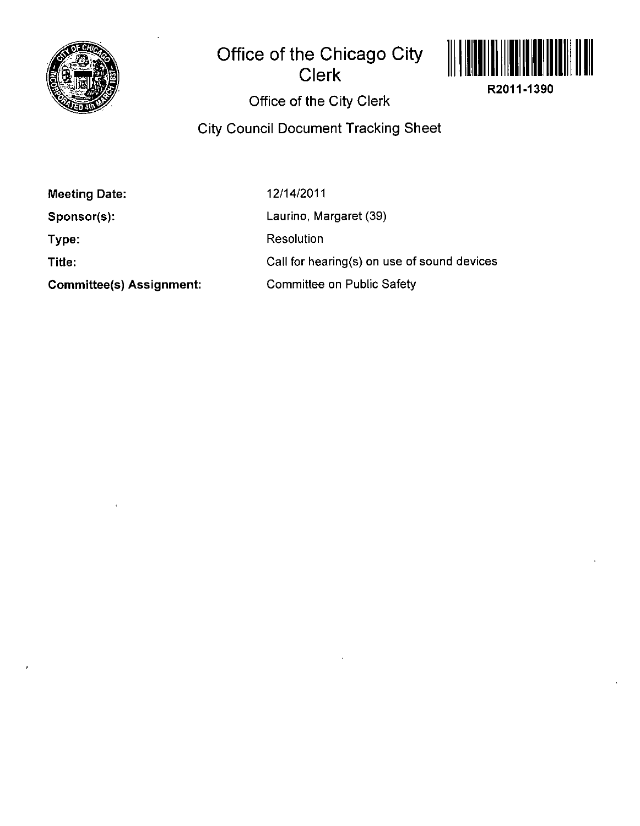

## **Office of the Chicago City Clerk**



**R2011-1390** 

**Office of the City Clerk** 

**City Council Document Tracking Sheet** 

**Meeting Date:** 

**Sponsor(s):** 

**Type:** 

**Title:** 

**Committee(s) Assignment:** 

12/14/2011

Laurino, Margaret (39)

Resolution

Call for hearing(s) on use of sound devices

Committee on Public Safety